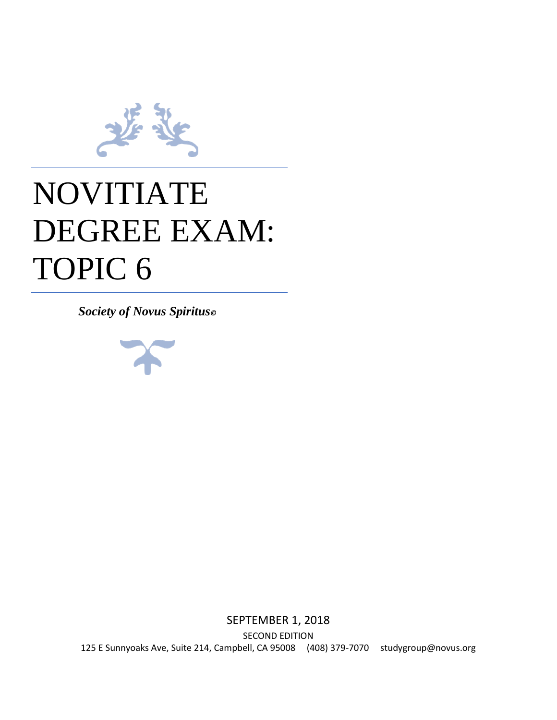

## NOVITIATE DEGREE EXAM: TOPIC 6

*Society of Novus Spiritus©*



SEPTEMBER 1, 2018 SECOND EDITION 125 E Sunnyoaks Ave, Suite 214, Campbell, CA 95008 (408) 379-7070 studygroup@novus.org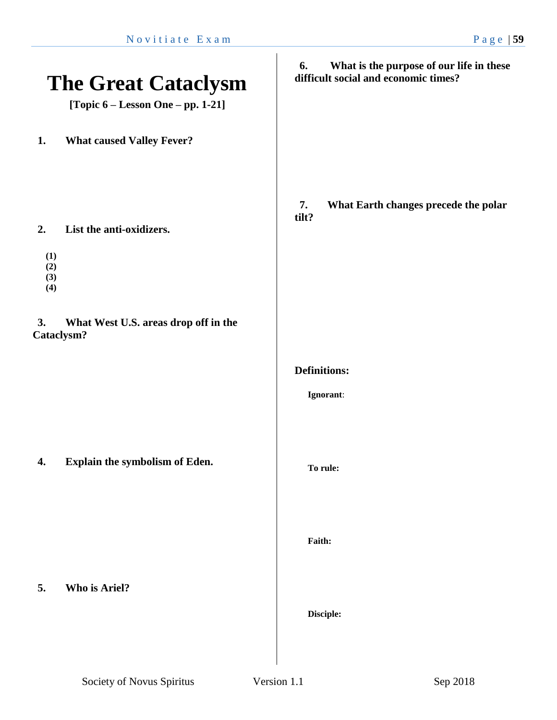| <b>The Great Cataclysm</b><br>[Topic 6 – Lesson One – pp. 1-21] |                                       | What is the purpose of our life in these<br>6.<br>difficult social and economic times? |
|-----------------------------------------------------------------|---------------------------------------|----------------------------------------------------------------------------------------|
| 1.                                                              | <b>What caused Valley Fever?</b>      |                                                                                        |
| 2.<br>(1)<br>(2)<br>(3)<br>(4)                                  | List the anti-oxidizers.              | 7.<br>What Earth changes precede the polar<br>tilt?                                    |
| 3.<br>Cataclysm?                                                | What West U.S. areas drop off in the  |                                                                                        |
|                                                                 |                                       | <b>Definitions:</b><br>Ignorant:                                                       |
|                                                                 |                                       |                                                                                        |
| 4.                                                              | <b>Explain the symbolism of Eden.</b> | To rule:                                                                               |
|                                                                 |                                       | Faith:                                                                                 |
| 5.                                                              | Who is Ariel?                         | Disciple:                                                                              |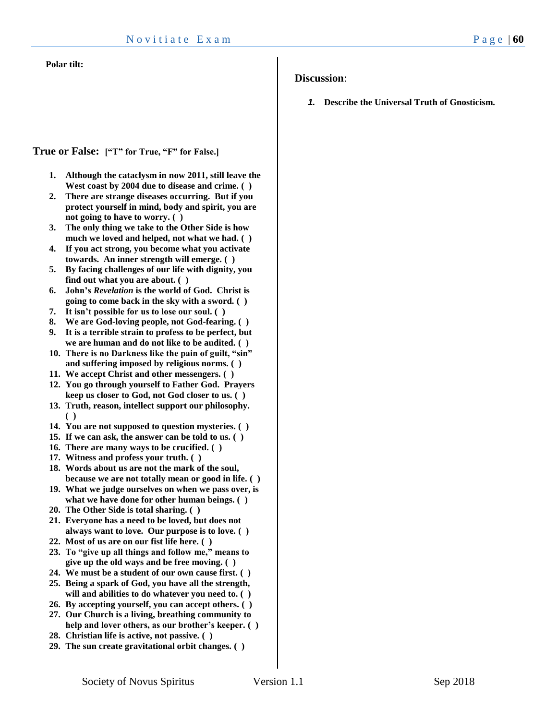#### **Polar tilt:**

#### **Discussion**:

*1.* **Describe the Universal Truth of Gnosticism.**

#### **True or False: ["T" for True, "F" for False.]**

- **1. Although the cataclysm in now 2011, still leave the West coast by 2004 due to disease and crime. ( )**
- **2. There are strange diseases occurring. But if you protect yourself in mind, body and spirit, you are not going to have to worry. ( )**
- **3. The only thing we take to the Other Side is how much we loved and helped, not what we had. ( )**
- **4. If you act strong, you become what you activate towards. An inner strength will emerge. ( )**
- **5. By facing challenges of our life with dignity, you find out what you are about. ( )**
- **6. John's** *Revelation* **is the world of God. Christ is going to come back in the sky with a sword. ( )**
- **7. It isn't possible for us to lose our soul. ( )**
- **8. We are God-loving people, not God-fearing. ( )**
- **9. It is a terrible strain to profess to be perfect, but we are human and do not like to be audited. ( )**
- **10. There is no Darkness like the pain of guilt, "sin" and suffering imposed by religious norms. ( )**
- **11. We accept Christ and other messengers. ( )**
- **12. You go through yourself to Father God. Prayers keep us closer to God, not God closer to us. ( )**
- **13. Truth, reason, intellect support our philosophy. ( )**
- **14. You are not supposed to question mysteries. ( )**
- **15. If we can ask, the answer can be told to us. ( )**
- **16. There are many ways to be crucified. ( )**
- **17. Witness and profess your truth. ( )**
- **18. Words about us are not the mark of the soul, because we are not totally mean or good in life. ( )**
- **19. What we judge ourselves on when we pass over, is what we have done for other human beings. ( )**
- **20. The Other Side is total sharing. ( )**
- **21. Everyone has a need to be loved, but does not always want to love. Our purpose is to love. ( )**
- **22. Most of us are on our fist life here. ( )**
- **23. To "give up all things and follow me," means to give up the old ways and be free moving. ( )**
- **24. We must be a student of our own cause first. ( )**
- **25. Being a spark of God, you have all the strength, will and abilities to do whatever you need to. ( )**
- **26. By accepting yourself, you can accept others. ( )**
- **27. Our Church is a living, breathing community to help and lover others, as our brother's keeper. ( )**
- **28. Christian life is active, not passive. ( )**
- **29. The sun create gravitational orbit changes. ( )**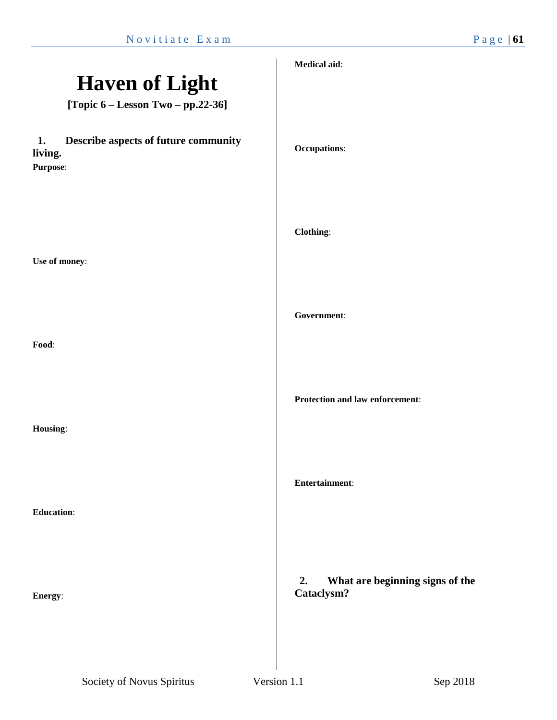|                                                                   | Medical aid:                                        |
|-------------------------------------------------------------------|-----------------------------------------------------|
| <b>Haven of Light</b>                                             |                                                     |
| [Topic $6 -$ Lesson Two $-$ pp.22-36]                             |                                                     |
| Describe aspects of future community<br>1.<br>living.<br>Purpose: | <b>Occupations:</b>                                 |
| Use of money:                                                     | Clothing:                                           |
| Food:                                                             | Government:                                         |
| Housing:                                                          | Protection and law enforcement:                     |
| <b>Education:</b>                                                 | Entertainment:                                      |
| Energy:                                                           | 2.<br>What are beginning signs of the<br>Cataclysm? |
|                                                                   |                                                     |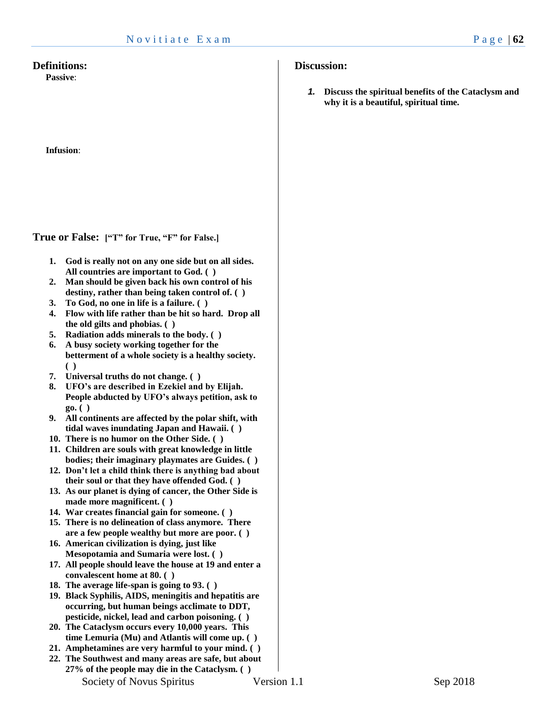#### **Definitions:**

**Passive**:

**Infusion**:

**True or False: ["T" for True, "F" for False.]**

- **1. God is really not on any one side but on all sides. All countries are important to God. ( )**
- **2. Man should be given back his own control of his destiny, rather than being taken control of. ( )**
- **3. To God, no one in life is a failure. ( )**
- **4. Flow with life rather than be hit so hard. Drop all the old gilts and phobias. ( )**
- **5. Radiation adds minerals to the body. ( )**
- **6. A busy society working together for the betterment of a whole society is a healthy society. ( )**
- **7. Universal truths do not change. ( )**
- **8. UFO's are described in Ezekiel and by Elijah. People abducted by UFO's always petition, ask to go. ( )**
- **9. All continents are affected by the polar shift, with tidal waves inundating Japan and Hawaii. ( )**
- **10. There is no humor on the Other Side. ( )**
- **11. Children are souls with great knowledge in little bodies; their imaginary playmates are Guides. ( )**
- **12. Don't let a child think there is anything bad about their soul or that they have offended God. ( )**
- **13. As our planet is dying of cancer, the Other Side is made more magnificent. ( )**
- **14. War creates financial gain for someone. ( )**
- **15. There is no delineation of class anymore. There are a few people wealthy but more are poor. ( )**
- **16. American civilization is dying, just like Mesopotamia and Sumaria were lost. ( )**
- **17. All people should leave the house at 19 and enter a convalescent home at 80. ( )**
- **18. The average life-span is going to 93. ( )**
- **19. Black Syphilis, AIDS, meningitis and hepatitis are occurring, but human beings acclimate to DDT, pesticide, nickel, lead and carbon poisoning. ( )**
- **20. The Cataclysm occurs every 10,000 years. This time Lemuria (Mu) and Atlantis will come up. ( )**
- **21. Amphetamines are very harmful to your mind. ( )**
- Society of Novus Spiritus **Version 1.1** Sep 2018 **22. The Southwest and many areas are safe, but about 27% of the people may die in the Cataclysm. ( )**

#### **Discussion:**

*1.* **Discuss the spiritual benefits of the Cataclysm and why it is a beautiful, spiritual time.**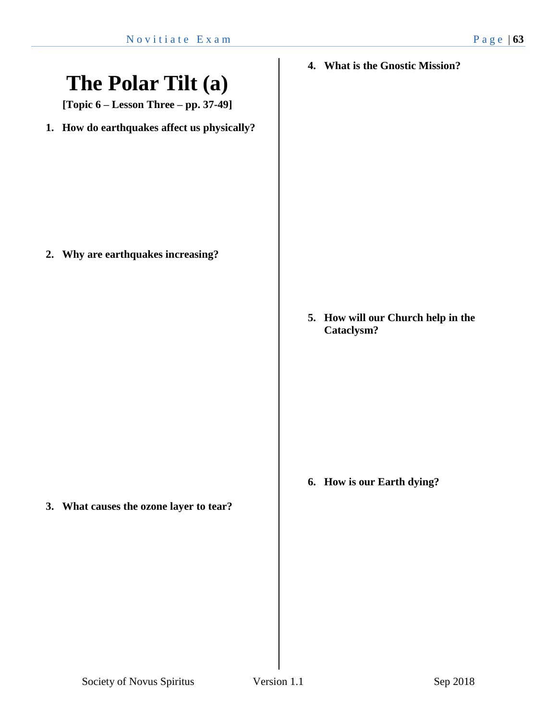# **The Polar Tilt (a) [Topic 6 – Lesson Three – pp. 37-49] 1. How do earthquakes affect us physically? 2. Why are earthquakes increasing? 3. What causes the ozone layer to tear? 4. What is the Gnostic Mission? 5. How will our Church help in the Cataclysm? 6. How is our Earth dying?**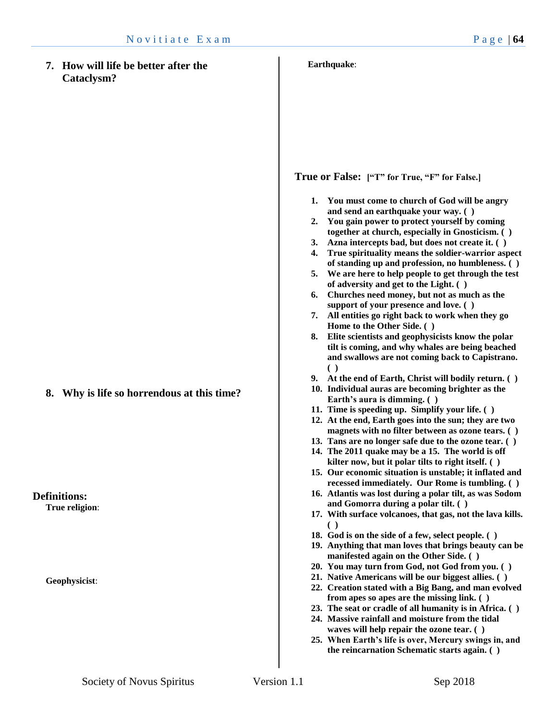**7. How will life be better after the Cataclysm?**

**True or False: ["T" for True, "F" for False.]**

**Earthquake**:

- **1. You must come to church of God will be angry and send an earthquake your way. ( )**
- **2. You gain power to protect yourself by coming together at church, especially in Gnosticism. ( )**
- **3. Azna intercepts bad, but does not create it. ( )**
- **4. True spirituality means the soldier-warrior aspect of standing up and profession, no humbleness. ( )**
- **5. We are here to help people to get through the test of adversity and get to the Light. ( )**
- **6. Churches need money, but not as much as the support of your presence and love. ( )**
- **7. All entities go right back to work when they go Home to the Other Side. ( )**
- **8. Elite scientists and geophysicists know the polar tilt is coming, and why whales are being beached and swallows are not coming back to Capistrano. ( )**
- **9. At the end of Earth, Christ will bodily return. ( )**
- **10. Individual auras are becoming brighter as the Earth's aura is dimming. ( )**
- **11. Time is speeding up. Simplify your life. ( )**
- **12. At the end, Earth goes into the sun; they are two magnets with no filter between as ozone tears. ( )**
- **13. Tans are no longer safe due to the ozone tear. ( )**
- **14. The 2011 quake may be a 15. The world is off kilter now, but it polar tilts to right itself. ( )**
- **15. Our economic situation is unstable; it inflated and recessed immediately. Our Rome is tumbling. ( )**
- **16. Atlantis was lost during a polar tilt, as was Sodom and Gomorra during a polar tilt. ( )**
- **17. With surface volcanoes, that gas, not the lava kills. ( )**
- **18. God is on the side of a few, select people. ( )**
- **19. Anything that man loves that brings beauty can be manifested again on the Other Side. ( )**
- **20. You may turn from God, not God from you. ( )**
- **21. Native Americans will be our biggest allies. ( )**
- **22. Creation stated with a Big Bang, and man evolved from apes so apes are the missing link. ( )**
- **23. The seat or cradle of all humanity is in Africa. ( )**
- **24. Massive rainfall and moisture from the tidal waves will help repair the ozone tear. ( )**
- **25. When Earth's life is over, Mercury swings in, and the reincarnation Schematic starts again. ( )**

**8. Why is life so horrendous at this time?**

**Definitions: True religion**:

**Geophysicist**: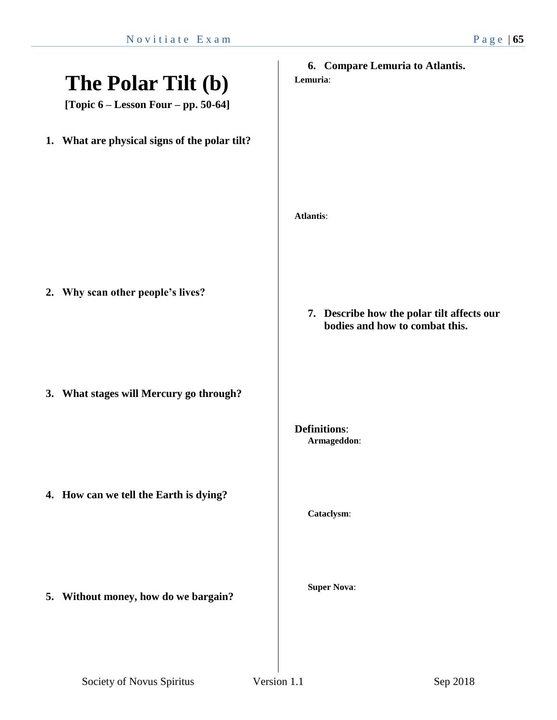|                                               | 6. Compare Lemuria to Atlantis.            |
|-----------------------------------------------|--------------------------------------------|
| The Polar Tilt (b)                            | Lemuria:                                   |
|                                               |                                            |
| [Topic $6$ – Lesson Four – pp. 50-64]         |                                            |
| 1. What are physical signs of the polar tilt? |                                            |
|                                               |                                            |
|                                               |                                            |
|                                               |                                            |
|                                               | <b>Atlantis:</b>                           |
|                                               |                                            |
|                                               |                                            |
|                                               |                                            |
|                                               |                                            |
| 2. Why scan other people's lives?             |                                            |
|                                               | 7. Describe how the polar tilt affects our |
|                                               | bodies and how to combat this.             |
|                                               |                                            |
|                                               |                                            |
|                                               |                                            |
| 3. What stages will Mercury go through?       |                                            |
|                                               |                                            |
|                                               | <b>Definitions:</b>                        |
|                                               | Armageddon:                                |
|                                               |                                            |
|                                               |                                            |
| 4. How can we tell the Earth is dying?        |                                            |
|                                               | Cataclysm:                                 |
|                                               |                                            |
|                                               |                                            |
|                                               |                                            |
|                                               |                                            |
|                                               | <b>Super Nova:</b>                         |
| 5. Without money, how do we bargain?          |                                            |
|                                               |                                            |
|                                               |                                            |
|                                               |                                            |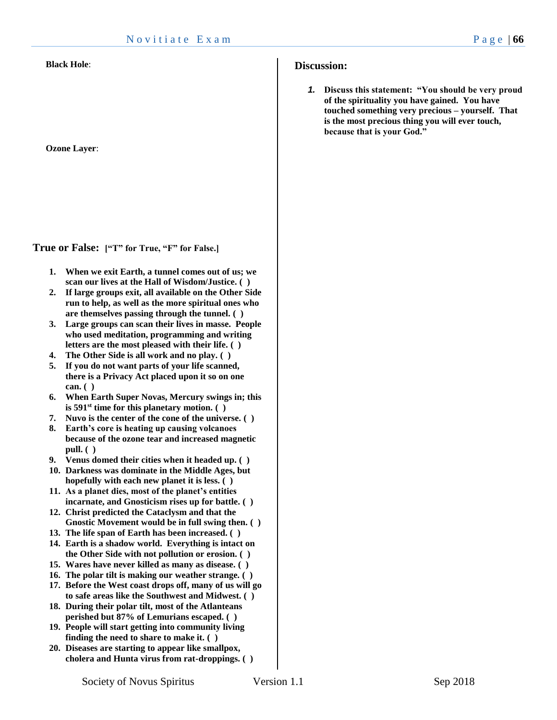**Ozone Layer**:

**True or False: ["T" for True, "F" for False.]**

- **1. When we exit Earth, a tunnel comes out of us; we scan our lives at the Hall of Wisdom/Justice. ( )**
- **2. If large groups exit, all available on the Other Side run to help, as well as the more spiritual ones who are themselves passing through the tunnel. ( )**
- **3. Large groups can scan their lives in masse. People who used meditation, programming and writing letters are the most pleased with their life. ( )**
- **4. The Other Side is all work and no play. ( )**
- **5. If you do not want parts of your life scanned, there is a Privacy Act placed upon it so on one can. ( )**
- **6. When Earth Super Novas, Mercury swings in; this is 591st time for this planetary motion. ( )**
- **7. Nuvo is the center of the cone of the universe. ( )**
- **8. Earth's core is heating up causing volcanoes because of the ozone tear and increased magnetic pull. ( )**
- **9. Venus domed their cities when it headed up. ( )**
- **10. Darkness was dominate in the Middle Ages, but hopefully with each new planet it is less. ( )**
- **11. As a planet dies, most of the planet's entities incarnate, and Gnosticism rises up for battle. ( )**
- **12. Christ predicted the Cataclysm and that the Gnostic Movement would be in full swing then. ( )**
- **13. The life span of Earth has been increased. ( )**
- **14. Earth is a shadow world. Everything is intact on the Other Side with not pollution or erosion. ( )**
- **15. Wares have never killed as many as disease. ( )**
- **16. The polar tilt is making our weather strange. ( )**
- **17. Before the West coast drops off, many of us will go to safe areas like the Southwest and Midwest. ( )**
- **18. During their polar tilt, most of the Atlanteans perished but 87% of Lemurians escaped. ( )**
- **19. People will start getting into community living finding the need to share to make it. ( )**
- **20. Diseases are starting to appear like smallpox, cholera and Hunta virus from rat-droppings. ( )**

#### **Discussion:**

*1.* **Discuss this statement: "You should be very proud of the spirituality you have gained. You have touched something very precious – yourself. That is the most precious thing you will ever touch, because that is your God."**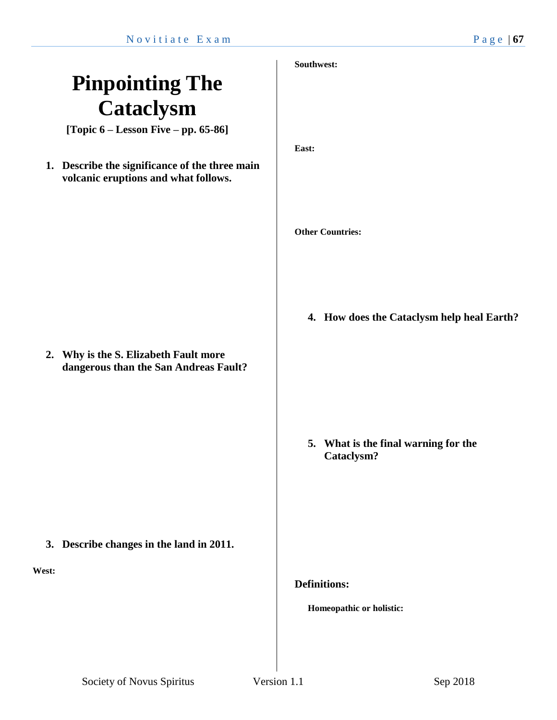### **Pinpointing The Cataclysm**

**[Topic 6 – Lesson Five – pp. 65-86]**

**1. Describe the significance of the three main volcanic eruptions and what follows.** 

**2. Why is the S. Elizabeth Fault more dangerous than the San Andreas Fault?**

**3. Describe changes in the land in 2011.**

**West:**

#### **Southwest:**

**East:**

**Other Countries:**

**4. How does the Cataclysm help heal Earth?**

**5. What is the final warning for the Cataclysm?**

**Definitions:**

**Homeopathic or holistic:**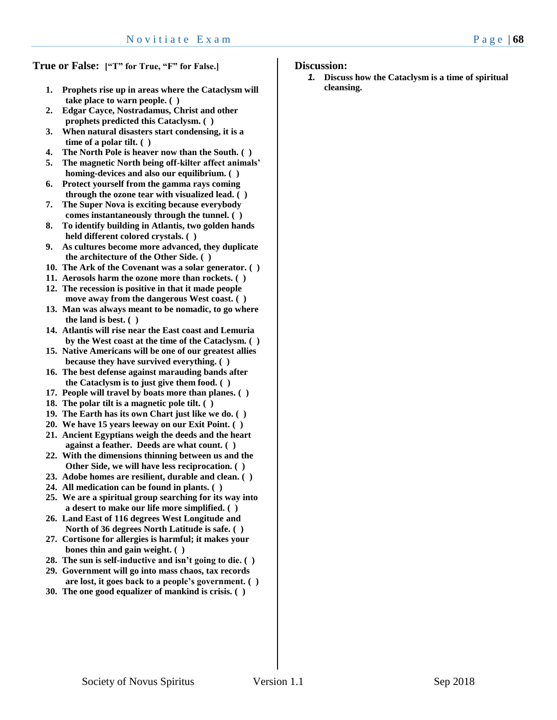**True or False: ["T" for True, "F" for False.]**

- **1. Prophets rise up in areas where the Cataclysm will take place to warn people. ( )**
- **2. Edgar Cayce, Nostradamus, Christ and other prophets predicted this Cataclysm. ( )**
- **3. When natural disasters start condensing, it is a time of a polar tilt. ( )**
- **4. The North Pole is heaver now than the South. ( )**
- **5. The magnetic North being off-kilter affect animals' homing-devices and also our equilibrium. ( )**
- **6. Protect yourself from the gamma rays coming through the ozone tear with visualized lead. ( )**
- **7. The Super Nova is exciting because everybody comes instantaneously through the tunnel. ( )**
- **8. To identify building in Atlantis, two golden hands held different colored crystals. ( )**
- **9. As cultures become more advanced, they duplicate the architecture of the Other Side. ( )**
- **10. The Ark of the Covenant was a solar generator. ( )**
- **11. Aerosols harm the ozone more than rockets. ( )**
- **12. The recession is positive in that it made people move away from the dangerous West coast. ( )**
- **13. Man was always meant to be nomadic, to go where the land is best. ( )**
- **14. Atlantis will rise near the East coast and Lemuria by the West coast at the time of the Cataclysm. ( )**
- **15. Native Americans will be one of our greatest allies because they have survived everything. ( )**
- **16. The best defense against marauding bands after the Cataclysm is to just give them food. ( )**
- **17. People will travel by boats more than planes. ( )**
- **18. The polar tilt is a magnetic pole tilt. ( )**
- **19. The Earth has its own Chart just like we do. ( )**
- **20. We have 15 years leeway on our Exit Point. ( )**
- **21. Ancient Egyptians weigh the deeds and the heart against a feather. Deeds are what count. ( )**
- **22. With the dimensions thinning between us and the Other Side, we will have less reciprocation. ( )**
- **23. Adobe homes are resilient, durable and clean. ( )**
- **24. All medication can be found in plants. ( )**
- **25. We are a spiritual group searching for its way into a desert to make our life more simplified. ( )**
- **26. Land East of 116 degrees West Longitude and North of 36 degrees North Latitude is safe. ( )**
- **27. Cortisone for allergies is harmful; it makes your bones thin and gain weight. ( )**
- **28. The sun is self-inductive and isn't going to die. ( )**
- **29. Government will go into mass chaos, tax records are lost, it goes back to a people's government. ( )**
- **30. The one good equalizer of mankind is crisis. ( )**

#### **Discussion:**

*1.* **Discuss how the Cataclysm is a time of spiritual cleansing.**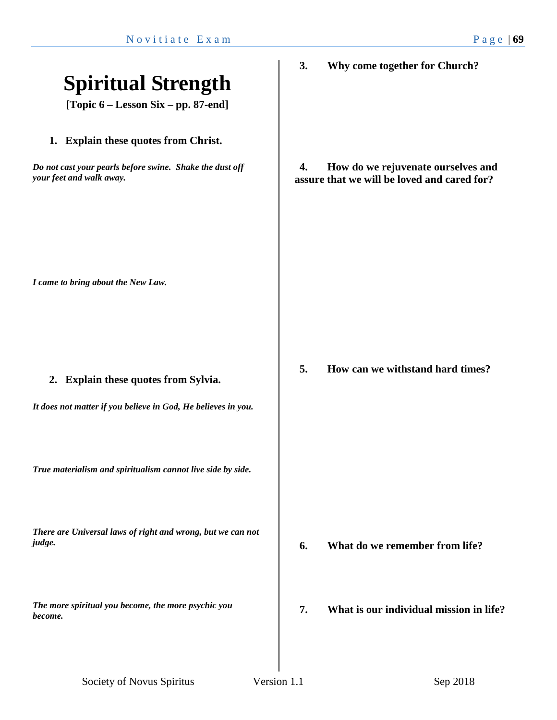| <b>Spiritual Strength</b><br>[Topic 6 – Lesson Six – pp. 87-end]                                                             | 3. | Why come together for Church?                                                     |
|------------------------------------------------------------------------------------------------------------------------------|----|-----------------------------------------------------------------------------------|
| 1. Explain these quotes from Christ.<br>Do not cast your pearls before swine. Shake the dust off<br>your feet and walk away. | 4. | How do we rejuvenate ourselves and<br>assure that we will be loved and cared for? |
| I came to bring about the New Law.                                                                                           |    |                                                                                   |
| 2. Explain these quotes from Sylvia.<br>It does not matter if you believe in God, He believes in you.                        | 5. | How can we withstand hard times?                                                  |
| True materialism and spiritualism cannot live side by side.                                                                  |    |                                                                                   |
| There are Universal laws of right and wrong, but we can not<br>judge.                                                        | 6. | What do we remember from life?                                                    |
| The more spiritual you become, the more psychic you<br>become.                                                               | 7. | What is our individual mission in life?                                           |